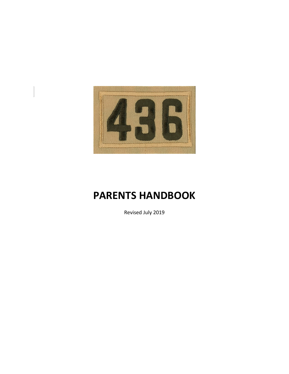

# **PARENTS HANDBOOK**

Revised July 2019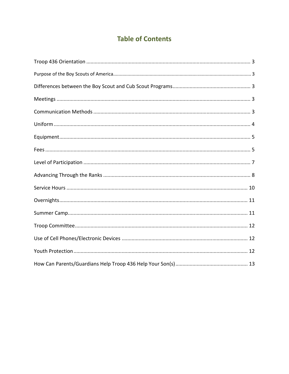# **Table of Contents**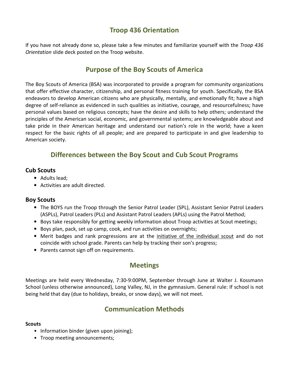# **Troop 436 Orientation**

If you have not already done so, please take a few minutes and familiarize yourself with the *Troop 436 Orientation* slide deck posted on the Troop website.

### **Purpose of the Boy Scouts of America**

The Boy Scouts of America (BSA) was incorporated to provide a program for community organizations that offer effective character, citizenship, and personal fitness training for youth. Specifically, the BSA endeavors to develop American citizens who are physically, mentally, and emotionally fit; have a high degree of self-reliance as evidenced in such qualities as initiative, courage, and resourcefulness; have personal values based on religious concepts; have the desire and skills to help others; understand the principles of the American social, economic, and governmental systems; are knowledgeable about and take pride in their American heritage and understand our nation's role in the world; have a keen respect for the basic rights of all people; and are prepared to participate in and give leadership to American society.

### **Differences between the Boy Scout and Cub Scout Programs**

#### **Cub Scouts**

- Adults lead;
- Activities are adult directed.

#### **Boy Scouts**

- The BOYS run the Troop through the Senior Patrol Leader (SPL), Assistant Senior Patrol Leaders (ASPLs), Patrol Leaders (PLs) and Assistant Patrol Leaders (APLs) using the Patrol Method;
- Boys take responsibly for getting weekly information about Troop activities at Scout meetings;
- Boys plan, pack, set up camp, cook, and run activities on overnights;
- Merit badges and rank progressions are at the initiative of the individual scout and do not coincide with school grade. Parents can help by tracking their son's progress;
- Parents cannot sign off on requirements.

# **Meetings**

Meetings are held every Wednesday, 7:30-9:00PM, September through June at Walter J. Kossmann School (unless otherwise announced), Long Valley, NJ, in the gymnasium. General rule: If school is not being held that day (due to holidays, breaks, or snow days), we will not meet.

# **Communication Methods**

#### **Scouts**

- Information binder (given upon joining);
- Troop meeting announcements;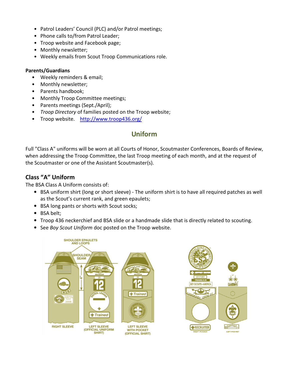- Patrol Leaders' Council (PLC) and/or Patrol meetings;
- Phone calls to/from Patrol Leader;
- Troop website and Facebook page;
- Monthly newsletter;
- Weekly emails from Scout Troop Communications role.

#### **Parents/Guardians**

- Weekly reminders & email;
- Monthly newsletter;
- Parents handbook;
- Monthly Troop Committee meetings;
- Parents meetings (Sept./April);
- *Troop Directory* of families posted on the Troop website;
- Troop website. http://www.troop436.org/

### **Uniform**

Full "Class A" uniforms will be worn at all Courts of Honor, Scoutmaster Conferences, Boards of Review, when addressing the Troop Committee, the last Troop meeting of each month, and at the request of the Scoutmaster or one of the Assistant Scoutmaster(s).

### **Class "A" Uniform**

The BSA Class A Uniform consists of:

• BSA uniform shirt (long or short sleeve) - The uniform shirt is to have all required patches as well as the Scout's current rank, and green epaulets;

**LEFT POCKET** 

- BSA long pants or shorts with Scout socks;
- BSA belt;
- Troop 436 neckerchief and BSA slide or a handmade slide that is directly related to scouting.
- See *Boy Scout Uniform* doc posted on the Troop website.

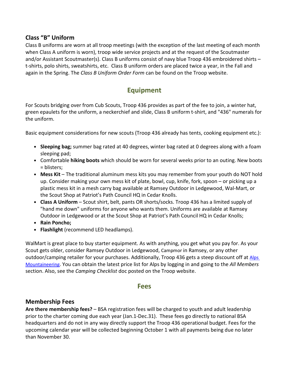#### **Class "B" Uniform**

Class B uniforms are worn at all troop meetings (with the exception of the last meeting of each month when Class A uniform is worn), troop wide service projects and at the request of the Scoutmaster and/or Assistant Scoutmaster(s). Class B uniforms consist of navy blue Troop 436 embroidered shirts – t-shirts, polo shirts, sweatshirts, etc. Class B uniform orders are placed twice a year, in the Fall and again in the Spring. The *Class B Uniform Order Form* can be found on the Troop website.

# **Equipment**

For Scouts bridging over from Cub Scouts, Troop 436 provides as part of the fee to join, a winter hat, green epaulets for the uniform, a neckerchief and slide, Class B uniform t-shirt, and "436" numerals for the uniform.

Basic equipment considerations for new scouts (Troop 436 already has tents, cooking equipment etc.):

- **Sleeping bag;** summer bag rated at 40 degrees, winter bag rated at 0 degrees along with a foam sleeping pad;
- Comfortable **hiking boots** which should be worn for several weeks prior to an outing. New boots = blisters;
- **Mess Kit** The traditional aluminum mess kits you may remember from your youth do NOT hold up. Consider making your own mess kit of plate, bowl, cup, knife, fork, spoon – or picking up a plastic mess kit in a mesh carry bag available at Ramsey Outdoor in Ledgewood, Wal-Mart, or the Scout Shop at Patriot's Path Council HQ in Cedar Knolls.
- **Class A Uniform** Scout shirt, belt, pants OR shorts/socks. Troop 436 has a limited supply of "hand me down" uniforms for anyone who wants them. Uniforms are available at Ramsey Outdoor in Ledgewood or at the Scout Shop at Patriot's Path Council HQ in Cedar Knolls;
- **Rain Poncho;**
- **Flashlight** (recommend LED headlamps).

WalMart is great place to buy starter equipment. As with anything, you get what you pay for. As your Scout gets older, consider Ramsey Outdoor in Ledgewood, Campmor in Ramsey, or any other outdoor/camping retailer for your purchases. Additionally, Troop 436 gets a steep discount off at Alps Mountaineering. You can obtain the latest price list for Alps by logging in and going to the *All Members* section. Also, see the *Camping Checklist* doc posted on the Troop website.

#### **Fees**

### **Membership Fees**

**Are there membership fees?** – BSA registration fees will be charged to youth and adult leadership prior to the charter coming due each year (Jan.1-Dec.31). These fees go directly to national BSA headquarters and do not in any way directly support the Troop 436 operational budget. Fees for the upcoming calendar year will be collected beginning October 1 with all payments being due no later than November 30.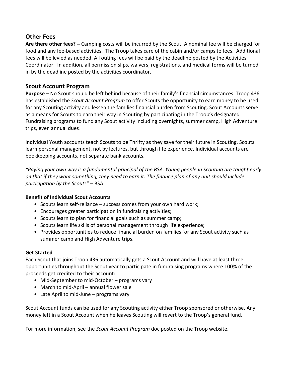### **Other Fees**

**Are there other fees?** – Camping costs will be incurred by the Scout. A nominal fee will be charged for food and any fee-based activities. The Troop takes care of the cabin and/or campsite fees. Additional fees will be levied as needed. All outing fees will be paid by the deadline posted by the Activities Coordinator. In addition, all permission slips, waivers, registrations, and medical forms will be turned in by the deadline posted by the activities coordinator.

#### **Scout Account Program**

**Purpose** – No Scout should be left behind because of their family's financial circumstances. Troop 436 has established the *Scout Account Program* to offer Scouts the opportunity to earn money to be used for any Scouting activity and lessen the families financial burden from Scouting. Scout Accounts serve as a means for Scouts to earn their way in Scouting by participating in the Troop's designated Fundraising programs to fund any Scout activity including overnights, summer camp, High Adventure trips, even annual dues!

Individual Youth accounts teach Scouts to be Thrifty as they save for their future in Scouting. Scouts learn personal management, not by lectures, but through life experience. Individual accounts are bookkeeping accounts, not separate bank accounts.

*"Paying your own way is a fundamental principal of the BSA. Young people in Scouting are taught early on that if they want something, they need to earn it. The finance plan of any unit should include participation by the Scouts"* – BSA

#### **Benefit of Individual Scout Accounts**

- Scouts learn self-reliance success comes from your own hard work;
- Encourages greater participation in fundraising activities;
- Scouts learn to plan for financial goals such as summer camp;
- Scouts learn life skills of personal management through life experience;
- Provides opportunities to reduce financial burden on families for any Scout activity such as summer camp and High Adventure trips.

#### **Get Started**

Each Scout that joins Troop 436 automatically gets a Scout Account and will have at least three opportunities throughout the Scout year to participate in fundraising programs where 100% of the proceeds get credited to their account:

- Mid-September to mid-October programs vary
- March to mid-April annual flower sale
- Late April to mid-June programs vary

Scout Account funds can be used for any Scouting activity either Troop sponsored or otherwise. Any money left in a Scout Account when he leaves Scouting will revert to the Troop's general fund.

For more information, see the *Scout Account Program* doc posted on the Troop website.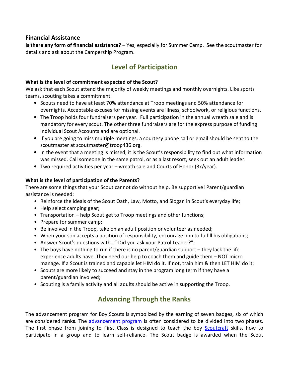#### **Financial Assistance**

**Is there any form of financial assistance?** – Yes, especially for Summer Camp. See the scoutmaster for details and ask about the Campership Program.

# **Level of Participation**

#### **What is the level of commitment expected of the Scout?**

We ask that each Scout attend the majority of weekly meetings and monthly overnights. Like sports teams, scouting takes a commitment.

- Scouts need to have at least 70% attendance at Troop meetings and 50% attendance for overnights. Acceptable excuses for missing events are illness, schoolwork, or religious functions.
- The Troop holds four fundraisers per year. Full participation in the annual wreath sale and is mandatory for every scout. The other three fundraisers are for the express purpose of funding individual Scout Accounts and are optional.
- If you are going to miss multiple meetings, a courtesy phone call or email should be sent to the scoutmaster at scoutmaster@troop436.org.
- In the event that a meeting is missed, it is the Scout's responsibility to find out what information was missed. Call someone in the same patrol, or as a last resort, seek out an adult leader.
- Two required activities per year wreath sale and Courts of Honor (3x/year).

#### **What is the level of participation of the Parents?**

There are some things that your Scout cannot do without help. Be supportive! Parent/guardian assistance is needed:

- Reinforce the ideals of the Scout Oath, Law, Motto, and Slogan in Scout's everyday life;
- Help select camping gear;
- Transportation help Scout get to Troop meetings and other functions;
- Prepare for summer camp;
- Be involved in the Troop, take on an adult position or volunteer as needed;
- When your son accepts a position of responsibility, encourage him to fulfill his obligations;
- Answer Scout's questions with…" Did you ask your Patrol Leader?";
- The boys have nothing to run if there is no parent/guardian support they lack the life experience adults have. They need our help to coach them and guide them – NOT micro manage. If a Scout is trained and capable let HIM do it. If not, train him & then LET HIM do it;
- Scouts are more likely to succeed and stay in the program long term if they have a parent/guardian involved;
- Scouting is a family activity and all adults should be active in supporting the Troop.

# **Advancing Through the Ranks**

The advancement program for Boy Scouts is symbolized by the earning of seven badges, six of which are considered **ranks**. The advancement program is often considered to be divided into two phases. The first phase from joining to First Class is designed to teach the boy Scoutcraft skills, how to participate in a group and to learn self-reliance. The Scout badge is awarded when the Scout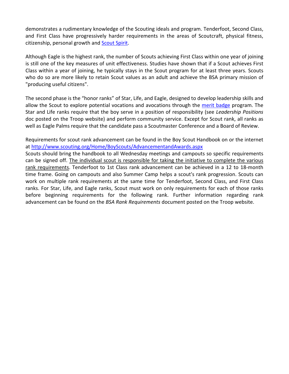demonstrates a rudimentary knowledge of the Scouting ideals and program. Tenderfoot, Second Class, and First Class have progressively harder requirements in the areas of Scoutcraft, physical fitness, citizenship, personal growth and Scout Spirit.

Although Eagle is the highest rank, the number of Scouts achieving First Class within one year of joining is still one of the key measures of unit effectiveness. Studies have shown that if a Scout achieves First Class within a year of joining, he typically stays in the Scout program for at least three years. Scouts who do so are more likely to retain Scout values as an adult and achieve the BSA primary mission of "producing useful citizens".

The second phase is the "honor ranks" of Star, Life, and Eagle, designed to develop leadership skills and allow the Scout to explore potential vocations and avocations through the merit badge program. The Star and Life ranks require that the boy serve in a position of responsibility (see *Leadership Positions* doc posted on the Troop website) and perform community service. Except for Scout rank, all ranks as well as Eagle Palms require that the candidate pass a Scoutmaster Conference and a Board of Review.

Requirements for scout rank advancement can be found in the Boy Scout Handbook on or the internet at http://www.scouting.org/Home/BoyScouts/AdvancementandAwards.aspx

Scouts should bring the handbook to all Wednesday meetings and campouts so specific requirements can be signed off. The individual scout is responsible for taking the initiative to complete the various rank requirements. Tenderfoot to 1st Class rank advancement can be achieved in a 12 to 18-month time frame. Going on campouts and also Summer Camp helps a scout's rank progression. Scouts can work on multiple rank requirements at the same time for Tenderfoot, Second Class, and First Class ranks. For Star, Life, and Eagle ranks, Scout must work on only requirements for each of those ranks before beginning requirements for the following rank. Further information regarding rank advancement can be found on the *BSA Rank Requirements* document posted on the Troop website.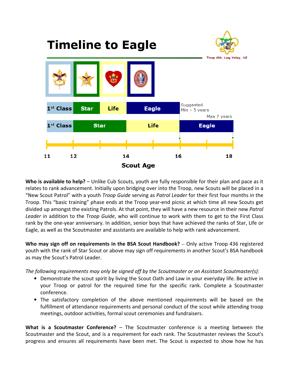

**Who is available to help?** – Unlike Cub Scouts, youth are fully responsible for their plan and pace as it relates to rank advancement. Initially upon bridging over into the Troop, new Scouts will be placed in a "New Scout Patrol" with a youth *Troop Guide* serving as *Patrol Leader* for their first four months in the Troop. This "basic training" phase ends at the Troop year-end picnic at which time all new Scouts get divided up amongst the existing Patrols. At that point, they will have a new resource in their new *Patrol Leader* in addition to the *Troop Guide*, who will continue to work with them to get to the First Class rank by the one-year anniversary. In addition, senior boys that have achieved the ranks of Star, Life or Eagle, as well as the Scoutmaster and assistants are available to help with rank advancement.

**Who may sign off on requirements in the BSA Scout Handbook?** – Only active Troop 436 registered youth with the rank of Star Scout or above may sign off requirements in another Scout's BSA handbook as may the Scout's Patrol Leader.

*The following requirements may only be signed off by the Scoutmaster or an Assistant Scoutmaster(s):* 

- Demonstrate the scout spirit by living the Scout Oath and Law in your everyday life. Be active in your Troop or patrol for the required time for the specific rank. Complete a Scoutmaster conference.
- The satisfactory completion of the above mentioned requirements will be based on the fulfillment of attendance requirements and personal conduct of the scout while attending troop meetings, outdoor activities, formal scout ceremonies and fundraisers.

**What is a Scoutmaster Conference?** – The Scoutmaster conference is a meeting between the Scoutmaster and the Scout, and is a requirement for each rank. The Scoutmaster reviews the Scout's progress and ensures all requirements have been met. The Scout is expected to show how he has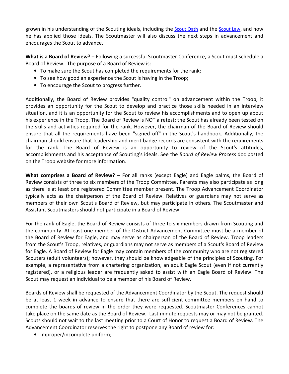grown in his understanding of the Scouting ideals, including the Scout Oath and the Scout Law, and how he has applied those ideals. The Scoutmaster will also discuss the next steps in advancement and encourages the Scout to advance.

**What is a Board of Review?** – Following a successful Scoutmaster Conference, a Scout must schedule a Board of Review. The purpose of a Board of Review is:

- To make sure the Scout has completed the requirements for the rank;
- To see how good an experience the Scout is having in the Troop;
- To encourage the Scout to progress further.

Additionally, the Board of Review provides "quality control" on advancement within the Troop, it provides an opportunity for the Scout to develop and practice those skills needed in an interview situation, and it is an opportunity for the Scout to review his accomplishments and to open up about his experience in the Troop. The Board of Review is NOT a retest; the Scout has already been tested on the skills and activities required for the rank. However, the chairman of the Board of Review should ensure that all the requirements have been "signed off" in the Scout's handbook. Additionally, the chairman should ensure that leadership and merit badge records are consistent with the requirements for the rank. The Board of Review is an opportunity to review of the Scout's attitudes, accomplishments and his acceptance of Scouting's ideals. See the *Board of Review Process* doc posted on the Troop website for more information.

**What comprises a Board of Review?** – For all ranks (except Eagle) and Eagle palms, the Board of Review consists of three to six members of the Troop Committee. Parents may also participate as long as there is at least one registered Committee member present. The Troop Advancement Coordinator typically acts as the chairperson of the Board of Review. Relatives or guardians may not serve as members of their own Scout's Board of Review, but may participate in others. The Scoutmaster and Assistant Scoutmasters should not participate in a Board of Review.

For the rank of Eagle, the Board of Review consists of three to six members drawn from Scouting and the community. At least one member of the District Advancement Committee must be a member of the Board of Review for Eagle, and may serve as chairperson of the Board of Review. Troop leaders from the Scout's Troop, relatives, or guardians may not serve as members of a Scout's Board of Review for Eagle. A Board of Review for Eagle may contain members of the community who are not registered Scouters (adult volunteers); however, they should be knowledgeable of the principles of Scouting. For example, a representative from a chartering organization, an adult Eagle Scout (even if not currently registered), or a religious leader are frequently asked to assist with an Eagle Board of Review. The Scout may request an individual to be a member of his Board of Review.

Boards of Review shall be requested of the Advancement Coordinator by the Scout. The request should be at least 1 week in advance to ensure that there are sufficient committee members on hand to complete the boards of review in the order they were requested. Scoutmaster Conferences cannot take place on the same date as the Board of Review. Last minute requests may or may not be granted. Scouts should not wait to the last meeting prior to a Court of Honor to request a Board of Review. The Advancement Coordinator reserves the right to postpone any Board of review for:

• Improper/incomplete uniform;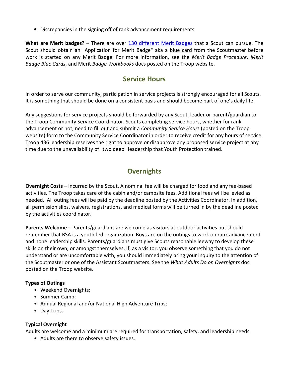• Discrepancies in the signing off of rank advancement requirements.

**What are Merit badges?** – There are over 130 different Merit Badges that a Scout can pursue. The Scout should obtain an "Application for Merit Badge" aka a blue card from the Scoutmaster before work is started on any Merit Badge. For more information, see the *Merit Badge Procedure*, *Merit Badge Blue Cards*, and Merit *Badge Workbooks* docs posted on the Troop website.

### **Service Hours**

In order to serve our community, participation in service projects is strongly encouraged for all Scouts. It is something that should be done on a consistent basis and should become part of one's daily life.

Any suggestions for service projects should be forwarded by any Scout, leader or parent/guardian to the Troop Community Service Coordinator. Scouts completing service hours, whether for rank advancement or not, need to fill out and submit a *Community Service Hours* (posted on the Troop website) form to the Community Service Coordinator in order to receive credit for any hours of service. Troop 436 leadership reserves the right to approve or disapprove any proposed service project at any time due to the unavailability of "two deep" leadership that Youth Protection trained.

# **Overnights**

**Overnight Costs** – Incurred by the Scout. A nominal fee will be charged for food and any fee-based activities. The Troop takes care of the cabin and/or campsite fees. Additional fees will be levied as needed. All outing fees will be paid by the deadline posted by the Activities Coordinator. In addition, all permission slips, waivers, registrations, and medical forms will be turned in by the deadline posted by the activities coordinator.

**Parents Welcome** – Parents/guardians are welcome as visitors at outdoor activities but should remember that BSA is a youth-led organization. Boys are on the outings to work on rank advancement and hone leadership skills. Parents/guardians must give Scouts reasonable leeway to develop these skills on their own, or amongst themselves. If, as a visitor, you observe something that you do not understand or are uncomfortable with, you should immediately bring your inquiry to the attention of the Scoutmaster or one of the Assistant Scoutmasters. See the *What Adults Do on Overnights* doc posted on the Troop website.

#### **Types of Outings**

- Weekend Overnights;
- Summer Camp;
- Annual Regional and/or National High Adventure Trips;
- Day Trips.

#### **Typical Overnight**

Adults are welcome and a minimum are required for transportation, safety, and leadership needs.

• Adults are there to observe safety issues.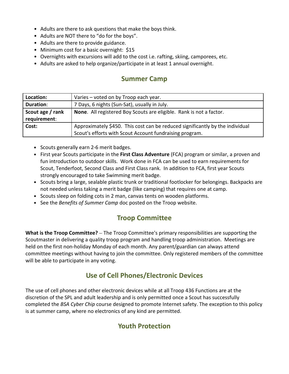- Adults are there to ask questions that make the boys think.
- Adults are NOT there to "do for the boys".
- Adults are there to provide guidance.
- Minimum cost for a basic overnight: \$15
- Overnights with excursions will add to the cost i.e. rafting, skiing, camporees, etc.
- Adults are asked to help organize/participate in at least 1 annual overnight.

### **Summer Camp**

| Location:                        | Varies - voted on by Troop each year.                                                                                                    |
|----------------------------------|------------------------------------------------------------------------------------------------------------------------------------------|
| Duration:                        | 7 Days, 6 nights (Sun-Sat), usually in July.                                                                                             |
| Scout age / rank<br>requirement: | None. All registered Boy Scouts are eligible. Rank is not a factor.                                                                      |
| Cost:                            | Approximately \$450. This cost can be reduced significantly by the individual<br>Scout's efforts with Scout Account fundraising program. |

- Scouts generally earn 2-6 merit badges.
- First year Scouts participate in the **First Class Adventure** (FCA) program or similar, a proven and fun introduction to outdoor skills. Work done in FCA can be used to earn requirements for Scout, Tenderfoot, Second Class and First Class rank. In addition to FCA, first year Scouts strongly encouraged to take Swimming merit badge.
- Scouts bring a large, sealable plastic trunk or traditional footlocker for belongings. Backpacks are not needed unless taking a merit badge (like camping) that requires one at camp.
- Scouts sleep on folding cots in 2 man, canvas tents on wooden platforms.
- See the *Benefits of Summer Camp* doc posted on the Troop website.

### **Troop Committee**

**What is the Troop Committee?** – The Troop Committee's primary responsibilities are supporting the Scoutmaster in delivering a quality troop program and handling troop administration. Meetings are held on the first non-holiday Monday of each month. Any parent/guardian can always attend committee meetings without having to join the committee. Only registered members of the committee will be able to participate in any voting.

# **Use of Cell Phones/Electronic Devices**

The use of cell phones and other electronic devices while at all Troop 436 Functions are at the discretion of the SPL and adult leadership and is only permitted once a Scout has successfully completed the *BSA Cyber Chip* course designed to promote Internet safety. The exception to this policy is at summer camp, where no electronics of any kind are permitted.

# **Youth Protection**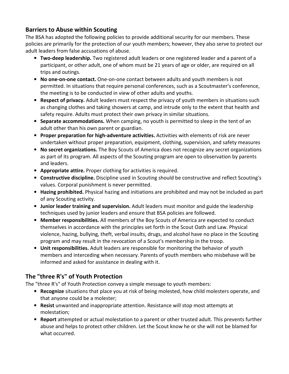### **Barriers to Abuse within Scouting**

The BSA has adopted the following policies to provide additional security for our members. These policies are primarily for the protection of our youth members; however, they also serve to protect our adult leaders from false accusations of abuse.

- **Two-deep leadership.** Two registered adult leaders or one registered leader and a parent of a participant, or other adult, one of whom must be 21 years of age or older, are required on all trips and outings.
- **No one-on-one contact.** One-on-one contact between adults and youth members is not permitted. In situations that require personal conferences, such as a Scoutmaster's conference, the meeting is to be conducted in view of other adults and youths.
- **Respect of privacy.** Adult leaders must respect the privacy of youth members in situations such as changing clothes and taking showers at camp, and intrude only to the extent that health and safety require. Adults must protect their own privacy in similar situations.
- **Separate accommodations.** When camping, no youth is permitted to sleep in the tent of an adult other than his own parent or guardian.
- **Proper preparation for high-adventure activities.** Activities with elements of risk are never undertaken without proper preparation, equipment, clothing, supervision, and safety measures
- **No secret organizations.** The Boy Scouts of America does not recognize any secret organizations as part of its program. All aspects of the Scouting program are open to observation by parents and leaders.
- **Appropriate attire.** Proper clothing for activities is required.
- **Constructive discipline.** Discipline used in Scouting should be constructive and reflect Scouting's values. Corporal punishment is never permitted.
- **Hazing prohibited.** Physical hazing and initiations are prohibited and may not be included as part of any Scouting activity.
- **Junior leader training and supervision.** Adult leaders must monitor and guide the leadership techniques used by junior leaders and ensure that BSA policies are followed.
- **Member responsibilities.** All members of the Boy Scouts of America are expected to conduct themselves in accordance with the principles set forth in the Scout Oath and Law. Physical violence, hazing, bullying, theft, verbal insults, drugs, and alcohol have no place in the Scouting program and may result in the revocation of a Scout's membership in the troop.
- **Unit responsibilities.** Adult leaders are responsible for monitoring the behavior of youth members and interceding when necessary. Parents of youth members who misbehave will be informed and asked for assistance in dealing with it.

### **The "three R's" of Youth Protection**

The "three R's" of Youth Protection convey a simple message to youth members:

- **Recognize** situations that place you at risk of being molested, how child molesters operate, and that anyone could be a molester;
- **Resist** unwanted and inappropriate attention. Resistance will stop most attempts at molestation;
- **Report** attempted or actual molestation to a parent or other trusted adult. This prevents further abuse and helps to protect other children. Let the Scout know he or she will not be blamed for what occurred.